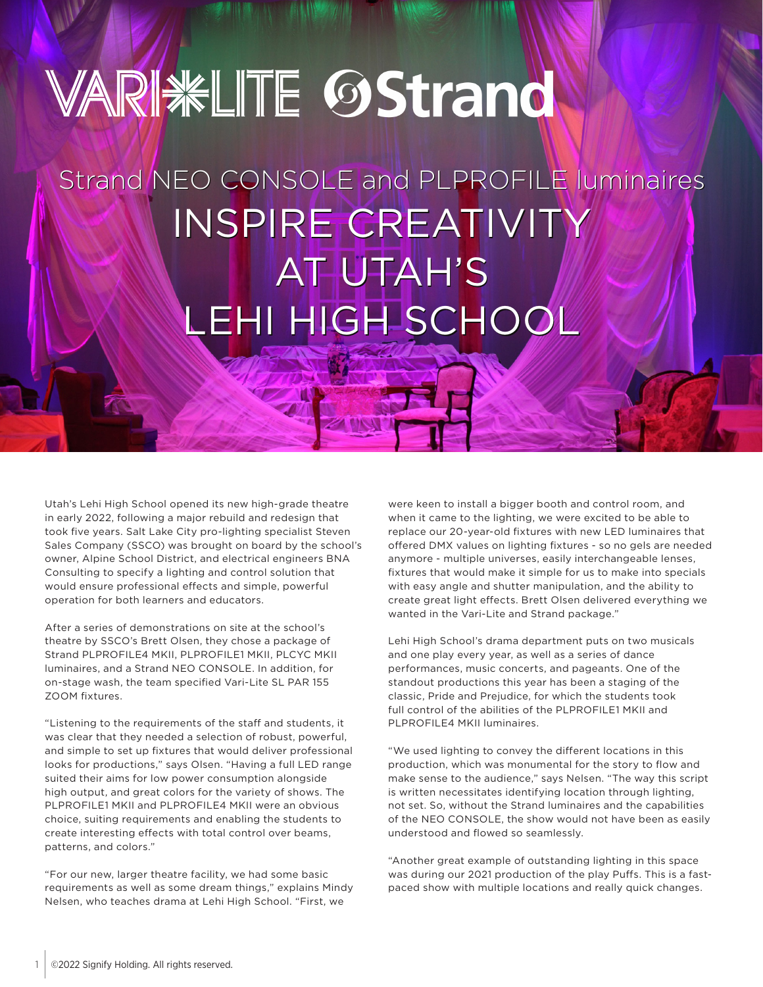## **VARI KLITE OStrand**

## Strand NEO CONSOLE and PLPROFILE luminaires Strand NEO CONSOLE and PLPROFILE luminaires INSPIRE CREATIVITY<br>AT UTAH'S AT UTAH'S LEHI HIGH SCHOOL LEHI HIGH SCHOOL

Utah's Lehi High School opened its new high-grade theatre in early 2022, following a major rebuild and redesign that took five years. Salt Lake City pro-lighting specialist Steven Sales Company (SSCO) was brought on board by the school's owner, Alpine School District, and electrical engineers BNA Consulting to specify a lighting and control solution that would ensure professional effects and simple, powerful operation for both learners and educators.

After a series of demonstrations on site at the school's theatre by SSCO's Brett Olsen, they chose a package of Strand PLPROFILE4 MKII, PLPROFILE1 MKII, PLCYC MKII luminaires, and a Strand NEO CONSOLE. In addition, for on-stage wash, the team specified Vari-Lite SL PAR 155 ZOOM fixtures.

"Listening to the requirements of the staff and students, it was clear that they needed a selection of robust, powerful, and simple to set up fixtures that would deliver professional looks for productions," says Olsen. "Having a full LED range suited their aims for low power consumption alongside high output, and great colors for the variety of shows. The PLPROFILE1 MKII and PLPROFILE4 MKII were an obvious choice, suiting requirements and enabling the students to create interesting effects with total control over beams, patterns, and colors."

"For our new, larger theatre facility, we had some basic requirements as well as some dream things," explains Mindy Nelsen, who teaches drama at Lehi High School. "First, we

were keen to install a bigger booth and control room, and when it came to the lighting, we were excited to be able to replace our 20-year-old fixtures with new LED luminaires that offered DMX values on lighting fixtures - so no gels are needed anymore - multiple universes, easily interchangeable lenses, fixtures that would make it simple for us to make into specials with easy angle and shutter manipulation, and the ability to create great light effects. Brett Olsen delivered everything we wanted in the Vari-Lite and Strand package."

Lehi High School's drama department puts on two musicals and one play every year, as well as a series of dance performances, music concerts, and pageants. One of the standout productions this year has been a staging of the classic, Pride and Prejudice, for which the students took full control of the abilities of the PLPROFILE1 MKII and PLPROFILE4 MKII luminaires.

"We used lighting to convey the different locations in this production, which was monumental for the story to flow and make sense to the audience," says Nelsen. "The way this script is written necessitates identifying location through lighting, not set. So, without the Strand luminaires and the capabilities of the NEO CONSOLE, the show would not have been as easily understood and flowed so seamlessly.

"Another great example of outstanding lighting in this space was during our 2021 production of the play Puffs. This is a fastpaced show with multiple locations and really quick changes.